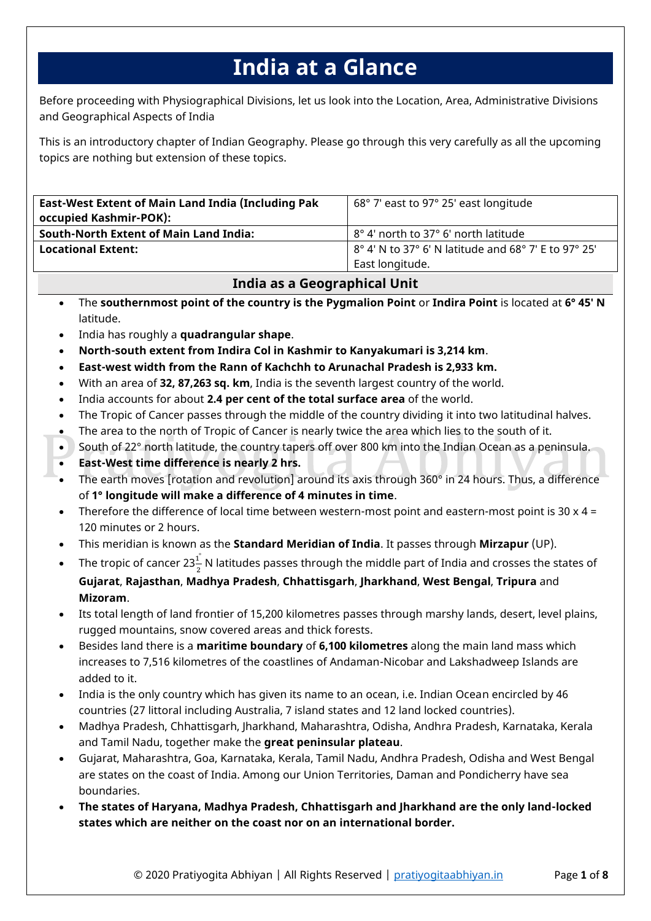# **India at a Glance**

Before proceeding with Physiographical Divisions, let us look into the Location, Area, Administrative Divisions and Geographical Aspects of India

This is an introductory chapter of Indian Geography. Please go through this very carefully as all the upcoming topics are nothing but extension of these topics.

| <b>East-West Extent of Main Land India (Including Pak</b><br>occupied Kashmir-POK): | 68° 7' east to 97° 25' east longitude                          |
|-------------------------------------------------------------------------------------|----------------------------------------------------------------|
| <b>South-North Extent of Main Land India:</b>                                       | 8° 4' north to 37° 6' north latitude                           |
| <b>Locational Extent:</b>                                                           | $18^{\circ}$ 4' N to 37° 6' N latitude and 68° 7' E to 97° 25' |
|                                                                                     | East longitude.                                                |

# **India as a Geographical Unit**

- The **southernmost point of the country is the Pygmalion Point** or **Indira Point** is located at **6° 45′ N** latitude.
- India has roughly a **quadrangular shape**.
- **North-south extent from Indira Col in Kashmir to Kanyakumari is 3,214 km**.
- **East-west width from the Rann of Kachchh to Arunachal Pradesh is 2,933 km.**
- With an area of **32, 87,263 sq. km**, India is the seventh largest country of the world.
- India accounts for about **2.4 per cent of the total surface area** of the world.
- The Tropic of Cancer passes through the middle of the country dividing it into two latitudinal halves.
- The area to the north of Tropic of Cancer is nearly twice the area which lies to the south of it.
- South of 22° north latitude, the country tapers off over 800 km into the Indian Ocean as a peninsula.
- **East-West time difference is nearly 2 hrs.**
- The earth moves [rotation and revolution] around its axis through 360° in 24 hours. Thus, a difference of **1° longitude will make a difference of 4 minutes in time**.
- Therefore the difference of local time between western-most point and eastern-most point is 30  $\times$  4 = 120 minutes or 2 hours.
- This meridian is known as the **Standard Meridian of India**. It passes through **Mirzapur** (UP).
- The tropic of cancer 23 $\frac{1}{3}$  $\frac{1}{2}$  N latitudes passes through the middle part of India and crosses the states of **Gujarat**, **Rajasthan**, **Madhya Pradesh**, **Chhattisgarh**, **Jharkhand**, **West Bengal**, **Tripura** and **Mizoram**.
- Its total length of land frontier of 15,200 kilometres passes through marshy lands, desert, level plains, rugged mountains, snow covered areas and thick forests.
- Besides land there is a **maritime boundary** of **6,100 kilometres** along the main land mass which increases to 7,516 kilometres of the coastlines of Andaman-Nicobar and Lakshadweep Islands are added to it.
- India is the only country which has given its name to an ocean, i.e. Indian Ocean encircled by 46 countries (27 littoral including Australia, 7 island states and 12 land locked countries).
- Madhya Pradesh, Chhattisgarh, Jharkhand, Maharashtra, Odisha, Andhra Pradesh, Karnataka, Kerala and Tamil Nadu, together make the **great peninsular plateau**.
- Gujarat, Maharashtra, Goa, Karnataka, Kerala, Tamil Nadu, Andhra Pradesh, Odisha and West Bengal are states on the coast of India. Among our Union Territories, Daman and Pondicherry have sea boundaries.
- **The states of Haryana, Madhya Pradesh, Chhattisgarh and Jharkhand are the only land-locked states which are neither on the coast nor on an international border.**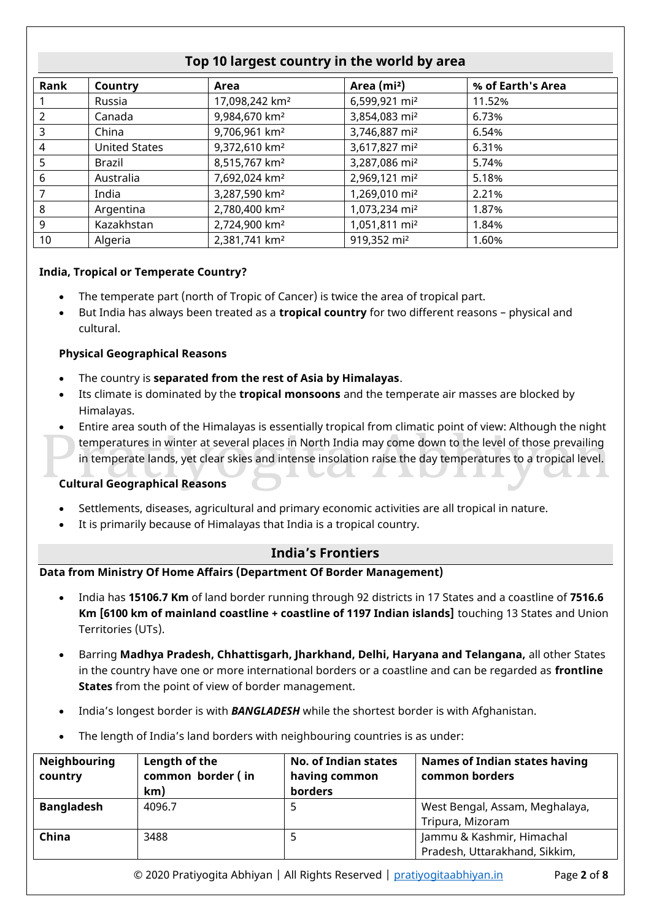| Rank | Country              | Area                       | Area (mi <sup>2</sup> )   | % of Earth's Area |
|------|----------------------|----------------------------|---------------------------|-------------------|
|      | Russia               | 17,098,242 km <sup>2</sup> | 6,599,921 mi <sup>2</sup> | 11.52%            |
|      | Canada               | 9,984,670 km <sup>2</sup>  | 3,854,083 mi <sup>2</sup> | 6.73%             |
| 3    | China                | 9,706,961 km <sup>2</sup>  | 3,746,887 mi <sup>2</sup> | 6.54%             |
| 4    | <b>United States</b> | 9,372,610 km <sup>2</sup>  | 3,617,827 mi <sup>2</sup> | 6.31%             |
| 5    | Brazil               | 8,515,767 km <sup>2</sup>  | 3,287,086 mi <sup>2</sup> | 5.74%             |
| 6    | Australia            | 7,692,024 km <sup>2</sup>  | 2,969,121 mi <sup>2</sup> | 5.18%             |
|      | India                | 3,287,590 km <sup>2</sup>  | 1,269,010 mi <sup>2</sup> | 2.21%             |
| 8    | Argentina            | 2,780,400 km <sup>2</sup>  | 1,073,234 mi <sup>2</sup> | 1.87%             |
| 9    | Kazakhstan           | 2,724,900 km <sup>2</sup>  | 1,051,811 mi <sup>2</sup> | 1.84%             |
| 10   | Algeria              | 2,381,741 km <sup>2</sup>  | 919,352 mi <sup>2</sup>   | 1.60%             |

# **Top 10 largest country in the world by area**

## **India, Tropical or Temperate Country?**

- The temperate part (north of Tropic of Cancer) is twice the area of tropical part.
- But India has always been treated as a **tropical country** for two different reasons physical and cultural.

#### **Physical Geographical Reasons**

- The country is **separated from the rest of Asia by Himalayas**.
- Its climate is dominated by the **tropical monsoons** and the temperate air masses are blocked by Himalayas.
- Entire area south of the Himalayas is essentially tropical from climatic point of view: Although the night temperatures in winter at several places in North India may come down to the level of those prevailing in temperate lands, yet clear skies and intense insolation raise the day temperatures to a tropical level.

## **Cultural Geographical Reasons**

- Settlements, diseases, agricultural and primary economic activities are all tropical in nature.
- It is primarily because of Himalayas that India is a tropical country.

## **India's Frontiers**

## **Data from Ministry Of Home Affairs (Department Of Border Management)**

- India has **15106.7 Km** of land border running through 92 districts in 17 States and a coastline of **7516.6 Km [6100 km of mainland coastline + coastline of 1197 Indian islands]** touching 13 States and Union Territories (UTs).
- Barring **Madhya Pradesh, Chhattisgarh, Jharkhand, Delhi, Haryana and Telangana,** all other States in the country have one or more international borders or a coastline and can be regarded as **frontline States** from the point of view of border management.
- India's longest border is with *BANGLADESH* while the shortest border is with Afghanistan.
- The length of India's land borders with neighbouring countries is as under:

| <b>Neighbouring</b><br>country | Length of the<br>common border (in<br>km) | <b>No. of Indian states</b><br>having common<br>borders | <b>Names of Indian states having</b><br>common borders |
|--------------------------------|-------------------------------------------|---------------------------------------------------------|--------------------------------------------------------|
| <b>Bangladesh</b>              | 4096.7                                    |                                                         | West Bengal, Assam, Meghalaya,                         |
|                                |                                           |                                                         | Tripura, Mizoram                                       |
| China                          | 3488                                      |                                                         | Jammu & Kashmir, Himachal                              |
|                                |                                           |                                                         | Pradesh, Uttarakhand, Sikkim,                          |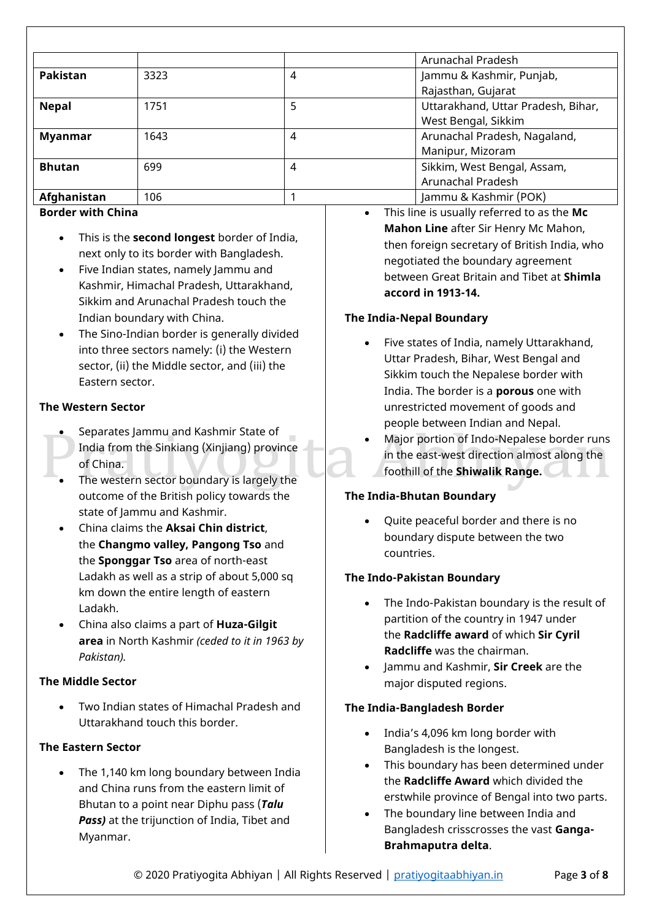|                |      |   | Arunachal Pradesh                                         |
|----------------|------|---|-----------------------------------------------------------|
| Pakistan       | 3323 | 4 | Jammu & Kashmir, Punjab,<br>Rajasthan, Gujarat            |
| <b>Nepal</b>   | 1751 | 5 | Uttarakhand, Uttar Pradesh, Bihar,<br>West Bengal, Sikkim |
| <b>Myanmar</b> | 1643 | 4 | Arunachal Pradesh, Nagaland,<br>Manipur, Mizoram          |
| <b>Bhutan</b>  | 699  | 4 | Sikkim, West Bengal, Assam,<br>Arunachal Pradesh          |
| Afghanistan    | 106  |   | Jammu & Kashmir (POK)                                     |

## **Border with China**

- This is the **second longest** border of India, next only to its border with Bangladesh.
- Five Indian states, namely Jammu and Kashmir, Himachal Pradesh, Uttarakhand, Sikkim and Arunachal Pradesh touch the Indian boundary with China.
- The Sino-Indian border is generally divided into three sectors namely: (i) the Western sector, (ii) the Middle sector, and (iii) the Eastern sector.

## **The Western Sector**

- Separates Jammu and Kashmir State of India from the Sinkiang (Xinjiang) province of China.
- The western sector boundary is largely the outcome of the British policy towards the state of Jammu and Kashmir.
- China claims the **Aksai Chin district**, the **Changmo valley, Pangong Tso** and the **Sponggar Tso** area of north-east Ladakh as well as a strip of about 5,000 sq km down the entire length of eastern Ladakh.
- China also claims a part of **Huza-Gilgit area** in North Kashmir *(ceded to it in 1963 by Pakistan).*

## **The Middle Sector**

 Two Indian states of Himachal Pradesh and Uttarakhand touch this border.

## **The Eastern Sector**

 The 1,140 km long boundary between India and China runs from the eastern limit of Bhutan to a point near Diphu pass (*Talu Pass)* at the trijunction of India, Tibet and Myanmar.

 This line is usually referred to as the **Mc Mahon Line** after Sir Henry Mc Mahon, then foreign secretary of British India, who negotiated the boundary agreement between Great Britain and Tibet at **Shimla accord in 1913-14.**

## **The India-Nepal Boundary**

- Five states of India, namely Uttarakhand, Uttar Pradesh, Bihar, West Bengal and Sikkim touch the Nepalese border with India. The border is a **porous** one with unrestricted movement of goods and people between Indian and Nepal.
- Major portion of Indo-Nepalese border runs in the east-west direction almost along the foothill of the **Shiwalik Range.**

# **The India-Bhutan Boundary**

 Quite peaceful border and there is no boundary dispute between the two countries.

## **The Indo-Pakistan Boundary**

- The Indo-Pakistan boundary is the result of partition of the country in 1947 under the **Radcliffe award** of which **Sir Cyril Radcliffe** was the chairman.
- Jammu and Kashmir, **Sir Creek** are the major disputed regions.

## **The India-Bangladesh Border**

- India's 4,096 km long border with Bangladesh is the longest.
- This boundary has been determined under the **Radcliffe Award** which divided the erstwhile province of Bengal into two parts.
- The boundary line between India and Bangladesh crisscrosses the vast **Ganga-Brahmaputra delta**.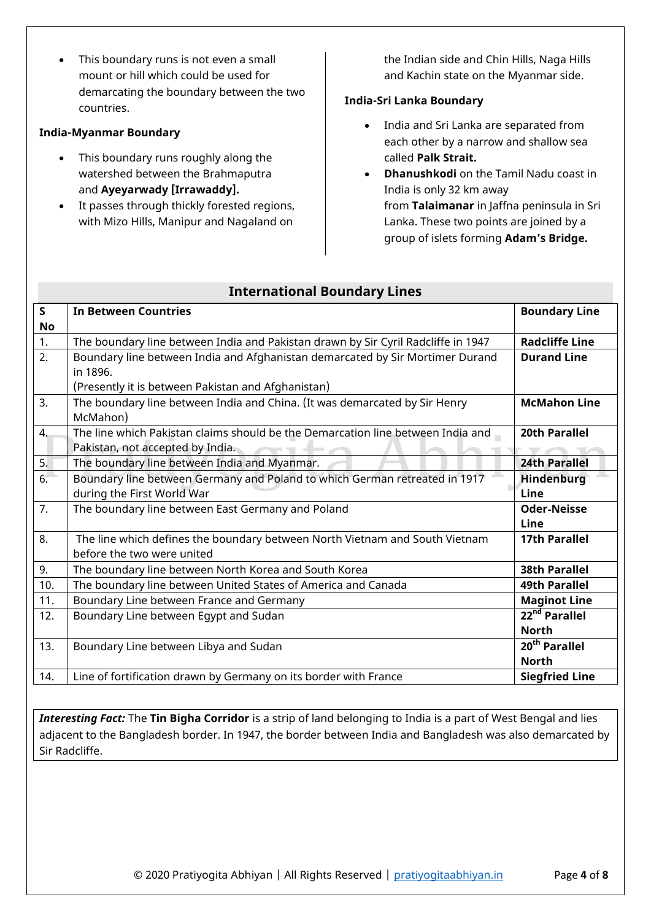This boundary runs is not even a small mount or hill which could be used for demarcating the boundary between the two countries.

## **India-Myanmar Boundary**

- This boundary runs roughly along the watershed between the Brahmaputra and **Ayeyarwady [Irrawaddy].**
- It passes through thickly forested regions, with Mizo Hills, Manipur and Nagaland on

the Indian side and Chin Hills, Naga Hills and Kachin state on the Myanmar side.

## **India-Sri Lanka Boundary**

- India and Sri Lanka are separated from each other by a narrow and shallow sea called **Palk Strait.**
- **Dhanushkodi** on the Tamil Nadu coast in India is only 32 km away from **Talaimanar** in Jaffna peninsula in Sri Lanka. These two points are joined by a group of islets forming **Adam's Bridge.**

| $\mathsf{S}$ | <b>In Between Countries</b>                                                       | <b>Boundary Line</b>      |
|--------------|-----------------------------------------------------------------------------------|---------------------------|
| No           |                                                                                   |                           |
| 1.           | The boundary line between India and Pakistan drawn by Sir Cyril Radcliffe in 1947 | <b>Radcliffe Line</b>     |
| 2.           | Boundary line between India and Afghanistan demarcated by Sir Mortimer Durand     | <b>Durand Line</b>        |
|              | in 1896.                                                                          |                           |
|              | (Presently it is between Pakistan and Afghanistan)                                |                           |
| 3.           | The boundary line between India and China. (It was demarcated by Sir Henry        | <b>McMahon Line</b>       |
|              | McMahon)                                                                          |                           |
| 4.           | The line which Pakistan claims should be the Demarcation line between India and   | 20th Parallel             |
|              | Pakistan, not accepted by India.                                                  |                           |
| 5.           | The boundary line between India and Myanmar.                                      | <b>24th Parallel</b>      |
| 6.           | Boundary line between Germany and Poland to which German retreated in 1917        | <b>Hindenburg</b>         |
|              | during the First World War                                                        | Line                      |
| 7.           | The boundary line between East Germany and Poland                                 | <b>Oder-Neisse</b>        |
|              |                                                                                   | Line                      |
| 8.           | The line which defines the boundary between North Vietnam and South Vietnam       | <b>17th Parallel</b>      |
|              | before the two were united                                                        |                           |
| 9.           | The boundary line between North Korea and South Korea                             | <b>38th Parallel</b>      |
| 10.          | The boundary line between United States of America and Canada                     | <b>49th Parallel</b>      |
| 11.          | Boundary Line between France and Germany                                          | <b>Maginot Line</b>       |
| 12.          | Boundary Line between Egypt and Sudan                                             | 22 <sup>nd</sup> Parallel |
|              |                                                                                   | <b>North</b>              |
| 13.          | Boundary Line between Libya and Sudan                                             | 20 <sup>th</sup> Parallel |
|              |                                                                                   | <b>North</b>              |
| 14.          | Line of fortification drawn by Germany on its border with France                  | <b>Siegfried Line</b>     |

## **International Boundary Lines**

*Interesting Fact:* The **Tin Bigha Corridor** is a strip of land belonging to India is a part of West Bengal and lies adjacent to the Bangladesh border. In 1947, the border between India and Bangladesh was also demarcated by Sir Radcliffe.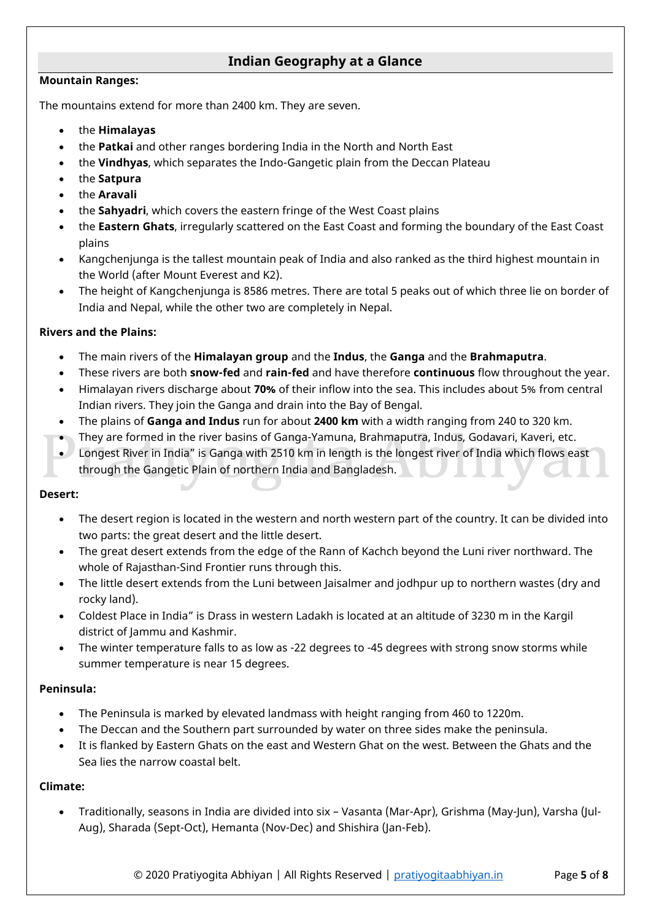# **Indian Geography at a Glance**

#### **Mountain Ranges:**

The mountains extend for more than 2400 km. They are seven.

- the **Himalayas**
- the **Patkai** and other ranges bordering India in the North and North East
- the **Vindhyas**, which separates the Indo-Gangetic plain from the Deccan Plateau
- the **Satpura**
- the **Aravali**
- the **Sahyadri**, which covers the eastern fringe of the West Coast plains
- the **Eastern Ghats**, irregularly scattered on the East Coast and forming the boundary of the East Coast plains
- Kangchenjunga is the tallest mountain peak of India and also ranked as the third highest mountain in the World (after Mount Everest and K2).
- The height of Kangchenjunga is 8586 metres. There are total 5 peaks out of which three lie on border of India and Nepal, while the other two are completely in Nepal.

## **Rivers and the Plains:**

- The main rivers of the **Himalayan group** and the **Indus**, the **Ganga** and the **Brahmaputra**.
- These rivers are both **snow-fed** and **rain-fed** and have therefore **continuous** flow throughout the year.
- Himalayan rivers discharge about **70%** of their inflow into the sea. This includes about 5% from central Indian rivers. They join the Ganga and drain into the Bay of Bengal.
- The plains of **Ganga and Indus** run for about **2400 km** with a width ranging from 240 to 320 km.
- They are formed in the river basins of Ganga-Yamuna, Brahmaputra, Indus, Godavari, Kaveri, etc.
- Longest River in India" is Ganga with 2510 km in length is the longest river of India which flows east through the Gangetic Plain of northern India and Bangladesh.

## **Desert:**

- The desert region is located in the western and north western part of the country. It can be divided into two parts: the great desert and the little desert.
- The great desert extends from the edge of the Rann of Kachch beyond the Luni river northward. The whole of Rajasthan-Sind Frontier runs through this.
- The little desert extends from the Luni between Jaisalmer and jodhpur up to northern wastes (dry and rocky land).
- Coldest Place in India" is Drass in western Ladakh is located at an altitude of 3230 m in the Kargil district of Jammu and Kashmir.
- The winter temperature falls to as low as -22 degrees to -45 degrees with strong snow storms while summer temperature is near 15 degrees.

## **Peninsula:**

- The Peninsula is marked by elevated landmass with height ranging from 460 to 1220m.
- The Deccan and the Southern part surrounded by water on three sides make the peninsula.
- It is flanked by Eastern Ghats on the east and Western Ghat on the west. Between the Ghats and the Sea lies the narrow coastal belt.

## **Climate:**

 Traditionally, seasons in India are divided into six – Vasanta (Mar-Apr), Grishma (May-Jun), Varsha (Jul-Aug), Sharada (Sept-Oct), Hemanta (Nov-Dec) and Shishira (Jan-Feb).

© 2020 Pratiyogita Abhiyan | All Rights Reserved | pratiyogitaabhiyan.in Page **5** of **8**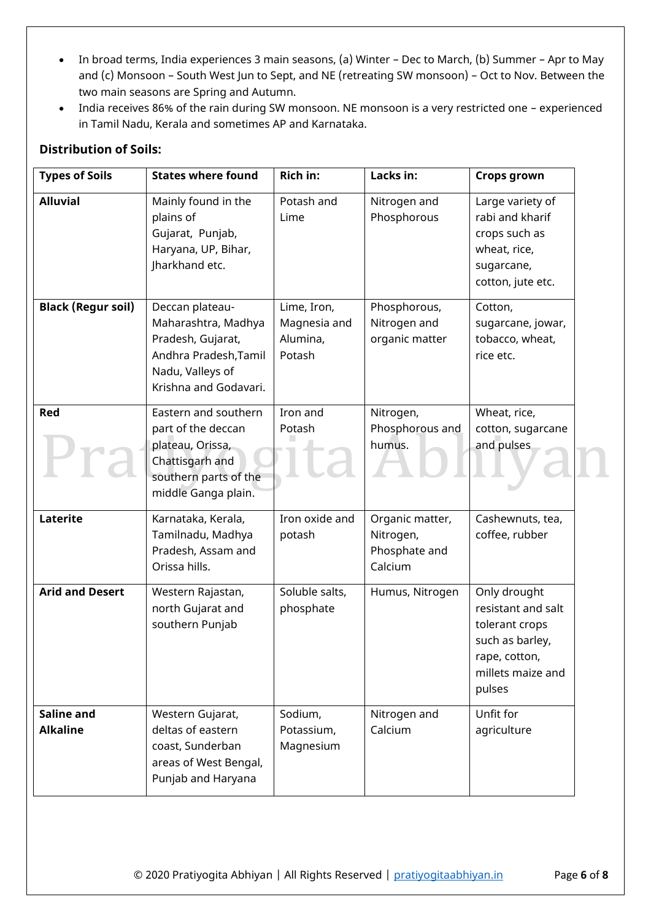- In broad terms, India experiences 3 main seasons, (a) Winter Dec to March, (b) Summer Apr to May and (c) Monsoon – South West Jun to Sept, and NE (retreating SW monsoon) – Oct to Nov. Between the two main seasons are Spring and Autumn.
- India receives 86% of the rain during SW monsoon. NE monsoon is a very restricted one experienced in Tamil Nadu, Kerala and sometimes AP and Karnataka.

## **Distribution of Soils:**

| <b>Types of Soils</b>         | <b>States where found</b>                                                                                                         | <b>Rich in:</b>                                   | Lacks in:                                                | <b>Crops grown</b>                                                                                                      |
|-------------------------------|-----------------------------------------------------------------------------------------------------------------------------------|---------------------------------------------------|----------------------------------------------------------|-------------------------------------------------------------------------------------------------------------------------|
| <b>Alluvial</b>               | Mainly found in the<br>plains of<br>Gujarat, Punjab,<br>Haryana, UP, Bihar,<br>Jharkhand etc.                                     | Potash and<br>Lime                                | Nitrogen and<br>Phosphorous                              | Large variety of<br>rabi and kharif<br>crops such as<br>wheat, rice,<br>sugarcane,<br>cotton, jute etc.                 |
| <b>Black (Regur soil)</b>     | Deccan plateau-<br>Maharashtra, Madhya<br>Pradesh, Gujarat,<br>Andhra Pradesh, Tamil<br>Nadu, Valleys of<br>Krishna and Godavari. | Lime, Iron,<br>Magnesia and<br>Alumina,<br>Potash | Phosphorous,<br>Nitrogen and<br>organic matter           | Cotton,<br>sugarcane, jowar,<br>tobacco, wheat,<br>rice etc.                                                            |
| Red                           | Eastern and southern<br>part of the deccan<br>plateau, Orissa,<br>Chattisgarh and<br>southern parts of the<br>middle Ganga plain. | Iron and<br>Potash                                | Nitrogen,<br>Phosphorous and<br>humus.                   | Wheat, rice,<br>cotton, sugarcane<br>and pulses                                                                         |
| Laterite                      | Karnataka, Kerala,<br>Tamilnadu, Madhya<br>Pradesh, Assam and<br>Orissa hills.                                                    | Iron oxide and<br>potash                          | Organic matter,<br>Nitrogen,<br>Phosphate and<br>Calcium | Cashewnuts, tea,<br>coffee, rubber                                                                                      |
| <b>Arid and Desert</b>        | Western Rajastan,<br>north Gujarat and<br>southern Punjab                                                                         | Soluble salts,<br>phosphate                       | Humus, Nitrogen                                          | Only drought<br>resistant and salt<br>tolerant crops<br>such as barley,<br>rape, cotton,<br>millets maize and<br>pulses |
| Saline and<br><b>Alkaline</b> | Western Gujarat,<br>deltas of eastern<br>coast, Sunderban<br>areas of West Bengal,<br>Punjab and Haryana                          | Sodium,<br>Potassium,<br>Magnesium                | Nitrogen and<br>Calcium                                  | Unfit for<br>agriculture                                                                                                |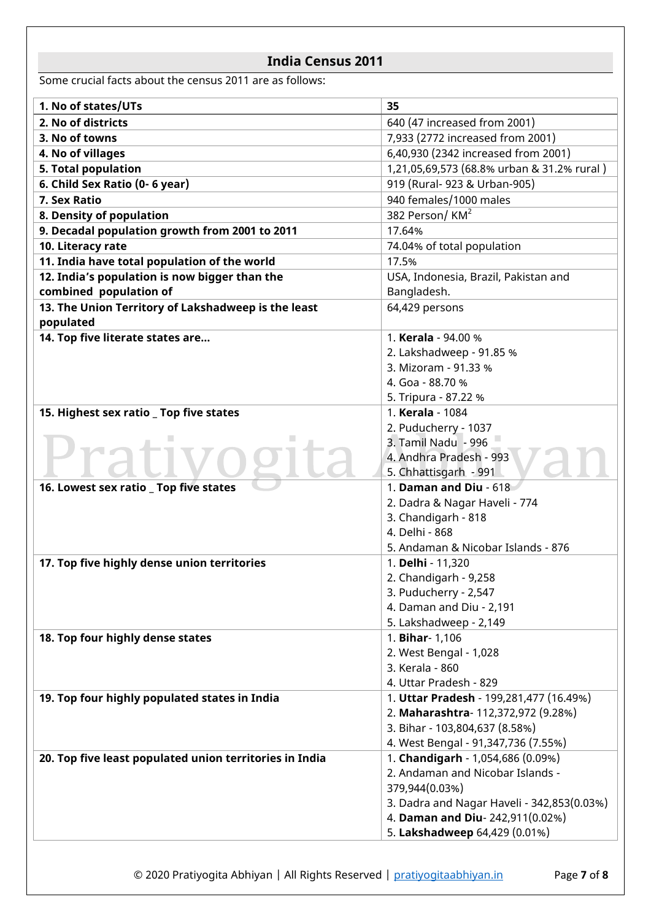# **India Census 2011**

Some crucial facts about the census 2011 are as follows:

| 1. No of states/UTs                                     | 35                                         |
|---------------------------------------------------------|--------------------------------------------|
| 2. No of districts                                      | 640 (47 increased from 2001)               |
| 3. No of towns                                          | 7,933 (2772 increased from 2001)           |
| 4. No of villages                                       | 6,40,930 (2342 increased from 2001)        |
| 5. Total population                                     | 1,21,05,69,573 (68.8% urban & 31.2% rural) |
| 6. Child Sex Ratio (0- 6 year)                          | 919 (Rural- 923 & Urban-905)               |
| 7. Sex Ratio                                            | 940 females/1000 males                     |
| 8. Density of population                                | 382 Person/ $KM^2$                         |
| 9. Decadal population growth from 2001 to 2011          | 17.64%                                     |
| 10. Literacy rate                                       | 74.04% of total population                 |
| 11. India have total population of the world            | 17.5%                                      |
| 12. India's population is now bigger than the           | USA, Indonesia, Brazil, Pakistan and       |
| combined population of                                  | Bangladesh.                                |
| 13. The Union Territory of Lakshadweep is the least     | 64,429 persons                             |
| populated                                               |                                            |
| 14. Top five literate states are                        | 1. Kerala - 94.00 %                        |
|                                                         | 2. Lakshadweep - 91.85 %                   |
|                                                         | 3. Mizoram - 91.33 %                       |
|                                                         | 4. Goa - 88.70 %                           |
|                                                         | 5. Tripura - 87.22 %                       |
| 15. Highest sex ratio _ Top five states                 | 1. Kerala - 1084                           |
|                                                         | 2. Puducherry - 1037                       |
|                                                         | 3. Tamil Nadu - 996                        |
|                                                         | 4. Andhra Pradesh - 993                    |
|                                                         | 5. Chhattisgarh - 991                      |
| 16. Lowest sex ratio _ Top five states                  | 1. Daman and Diu - 618                     |
|                                                         | 2. Dadra & Nagar Haveli - 774              |
|                                                         | 3. Chandigarh - 818                        |
|                                                         | 4. Delhi - 868                             |
|                                                         | 5. Andaman & Nicobar Islands - 876         |
| 17. Top five highly dense union territories             | 1. Delhi - 11,320                          |
|                                                         | 2. Chandigarh - 9,258                      |
|                                                         | 3. Puducherry - 2,547                      |
|                                                         | 4. Daman and Diu - 2,191                   |
|                                                         | 5. Lakshadweep - 2,149                     |
| 18. Top four highly dense states                        | 1. Bihar- 1,106                            |
|                                                         | 2. West Bengal - 1,028                     |
|                                                         | 3. Kerala - 860                            |
|                                                         | 4. Uttar Pradesh - 829                     |
| 19. Top four highly populated states in India           | 1. Uttar Pradesh - 199,281,477 (16.49%)    |
|                                                         | 2. Maharashtra-112,372,972 (9.28%)         |
|                                                         | 3. Bihar - 103,804,637 (8.58%)             |
|                                                         | 4. West Bengal - 91,347,736 (7.55%)        |
| 20. Top five least populated union territories in India | 1. Chandigarh - 1,054,686 (0.09%)          |
|                                                         | 2. Andaman and Nicobar Islands -           |
|                                                         | 379,944(0.03%)                             |
|                                                         | 3. Dadra and Nagar Haveli - 342,853(0.03%) |
|                                                         | 4. Daman and Diu-242,911(0.02%)            |
|                                                         | 5. Lakshadweep 64,429 (0.01%)              |